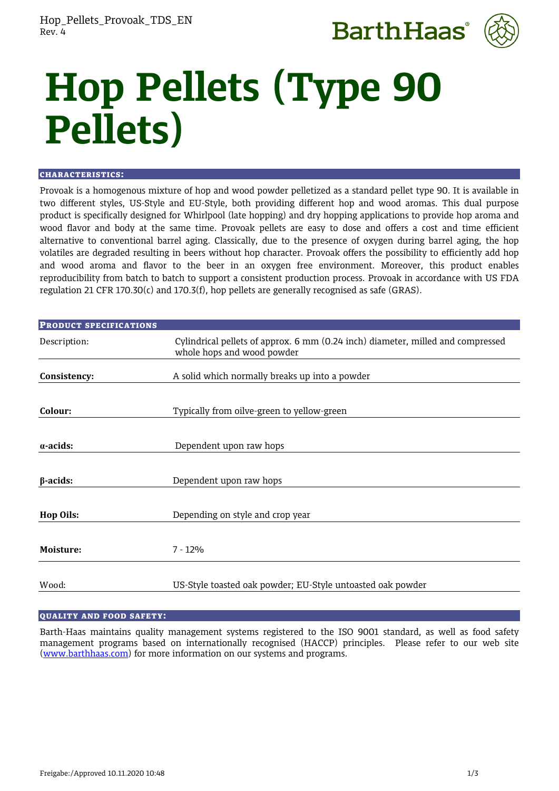



# **Hop Pellets (Type 90 Pellets)**

#### CHARACTERISTICS:

Provoak is a homogenous mixture of hop and wood powder pelletized as a standard pellet type 90. It is available in two different styles, US-Style and EU-Style, both providing different hop and wood aromas. This dual purpose product is specifically designed for Whirlpool (late hopping) and dry hopping applications to provide hop aroma and wood flavor and body at the same time. Provoak pellets are easy to dose and offers a cost and time efficient alternative to conventional barrel aging. Classically, due to the presence of oxygen during barrel aging, the hop volatiles are degraded resulting in beers without hop character. Provoak offers the possibility to efficiently add hop and wood aroma and flavor to the beer in an oxygen free environment. Moreover, this product enables reproducibility from batch to batch to support a consistent production process. Provoak in accordance with US FDA regulation 21 CFR 170.30(c) and 170.3(f), hop pellets are generally recognised as safe (GRAS).

| <b>PRODUCT SPECIFICATIONS</b> |                                                                                                               |  |
|-------------------------------|---------------------------------------------------------------------------------------------------------------|--|
| Description:                  | Cylindrical pellets of approx. 6 mm (0.24 inch) diameter, milled and compressed<br>whole hops and wood powder |  |
| Consistency:                  | A solid which normally breaks up into a powder                                                                |  |
|                               |                                                                                                               |  |
| Colour:                       | Typically from oilve-green to yellow-green                                                                    |  |
|                               |                                                                                                               |  |
| $\alpha$ -acids:              | Dependent upon raw hops                                                                                       |  |
|                               |                                                                                                               |  |
| $\beta$ -acids:               | Dependent upon raw hops                                                                                       |  |
|                               |                                                                                                               |  |
| <b>Hop Oils:</b>              | Depending on style and crop year                                                                              |  |
|                               |                                                                                                               |  |
| Moisture:                     | $7 - 12%$                                                                                                     |  |
|                               |                                                                                                               |  |
| Wood:                         | US-Style toasted oak powder; EU-Style untoasted oak powder                                                    |  |

## QUALITY AND FOOD SAFETY:

Barth-Haas maintains quality management systems registered to the ISO 9001 standard, as well as food safety management programs based on internationally recognised (HACCP) principles. Please refer to our web site [\(www.barthhaas.com\)](http://www.barthhaas.com/) for more information on our systems and programs.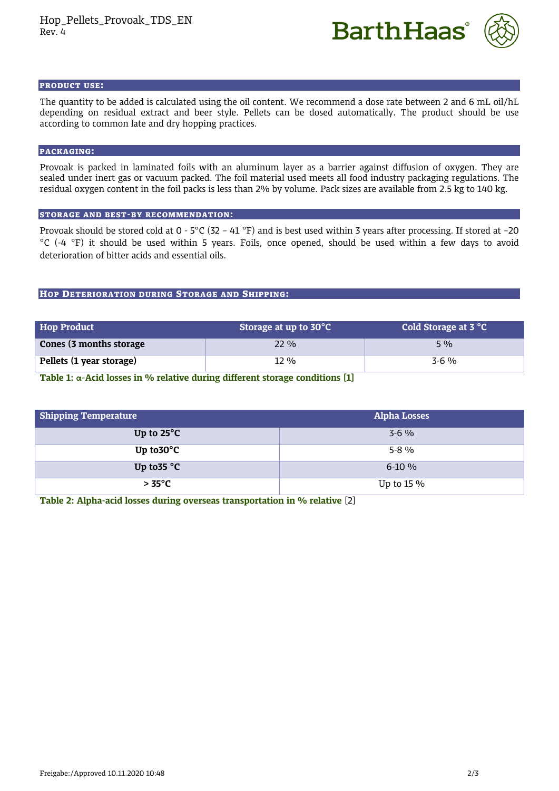



#### PRODUCT USE:

The quantity to be added is calculated using the oil content. We recommend a dose rate between 2 and 6 mL oil/hL depending on residual extract and beer style. Pellets can be dosed automatically. The product should be use according to common late and dry hopping practices.

# PACKAGING:

Provoak is packed in laminated foils with an aluminum layer as a barrier against diffusion of oxygen. They are sealed under inert gas or vacuum packed. The foil material used meets all food industry packaging regulations. The residual oxygen content in the foil packs is less than 2% by volume. Pack sizes are available from 2.5 kg to 140 kg.

## STORAGE AND BEST-BY RECOMMENDATION:

Provoak should be stored cold at 0 - 5°C (32 – 41 °F) and is best used within 3 years after processing. If stored at –20 °C (-4 °F) it should be used within 5 years. Foils, once opened, should be used within a few days to avoid deterioration of bitter acids and essential oils.

## HOP DETERIORATION DURING STORAGE AND SHIPPING:

| <b>Hop Product</b>       | Storage at up to 30°C | Cold Storage at 3 °C |
|--------------------------|-----------------------|----------------------|
| Cones (3 months storage  | $22\%$                | $5\%$                |
| Pellets (1 year storage) | 12 %                  | $3-6\%$              |

**Table 1: α-Acid losses in % relative during different storage conditions [1]**

| <b>Shipping Temperature</b> | <b>Alpha Losses</b> |
|-----------------------------|---------------------|
| Up to $25^{\circ}$ C        | $3-6\%$             |
| Up to $30^{\circ}$ C        | $5-8\%$             |
| Up to $35^{\circ}$ C        | $6-10\%$            |
| $> 35^{\circ}$ C            | Up to $15\%$        |

**Table 2: Alpha-acid losses during overseas transportation in % relative** [2]